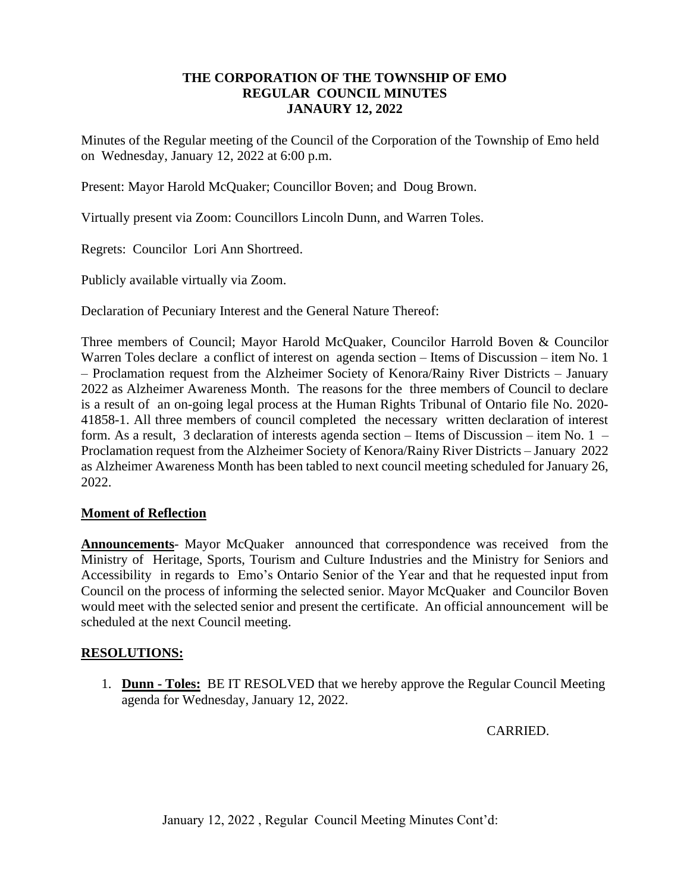### **THE CORPORATION OF THE TOWNSHIP OF EMO REGULAR COUNCIL MINUTES JANAURY 12, 2022**

Minutes of the Regular meeting of the Council of the Corporation of the Township of Emo held on Wednesday, January 12, 2022 at 6:00 p.m.

Present: Mayor Harold McQuaker; Councillor Boven; and Doug Brown.

Virtually present via Zoom: Councillors Lincoln Dunn, and Warren Toles.

Regrets: Councilor Lori Ann Shortreed.

Publicly available virtually via Zoom.

Declaration of Pecuniary Interest and the General Nature Thereof:

Three members of Council; Mayor Harold McQuaker, Councilor Harrold Boven & Councilor Warren Toles declare a conflict of interest on agenda section – Items of Discussion – item No. 1 – Proclamation request from the Alzheimer Society of Kenora/Rainy River Districts – January 2022 as Alzheimer Awareness Month. The reasons for the three members of Council to declare is a result of an on-going legal process at the Human Rights Tribunal of Ontario file No. 2020- 41858-1. All three members of council completed the necessary written declaration of interest form. As a result, 3 declaration of interests agenda section – Items of Discussion – item No. 1 – Proclamation request from the Alzheimer Society of Kenora/Rainy River Districts – January 2022 as Alzheimer Awareness Month has been tabled to next council meeting scheduled for January 26, 2022.

### **Moment of Reflection**

**Announcements**- Mayor McQuaker announced that correspondence was received from the Ministry of Heritage, Sports, Tourism and Culture Industries and the Ministry for Seniors and Accessibility in regards to Emo's Ontario Senior of the Year and that he requested input from Council on the process of informing the selected senior. Mayor McQuaker and Councilor Boven would meet with the selected senior and present the certificate. An official announcement will be scheduled at the next Council meeting.

### **RESOLUTIONS:**

1. **Dunn - Toles:** BE IT RESOLVED that we hereby approve the Regular Council Meeting agenda for Wednesday, January 12, 2022.

CARRIED.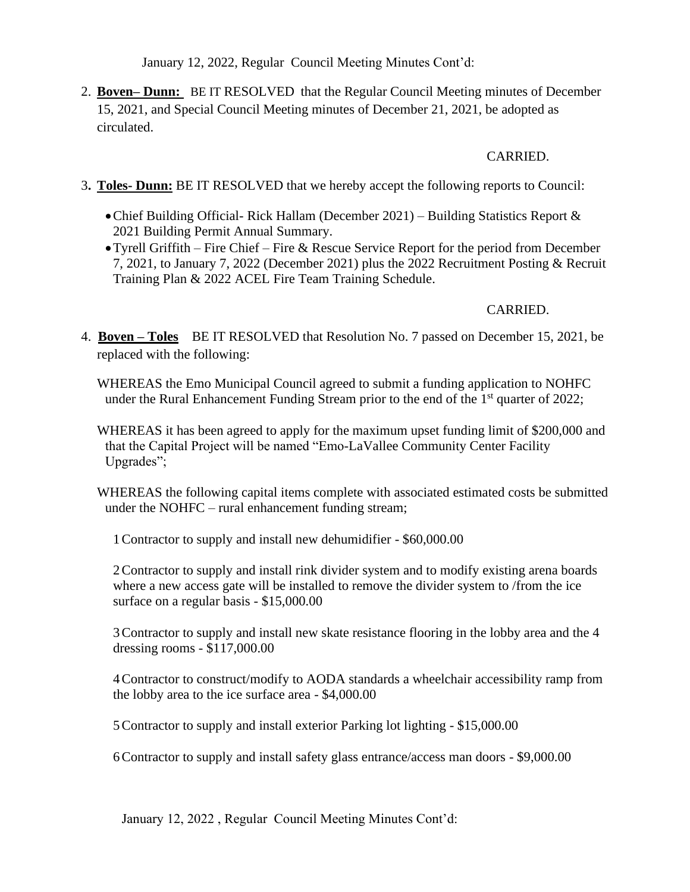2. **Boven– Dunn:** BE IT RESOLVED that the Regular Council Meeting minutes of December 15, 2021, and Special Council Meeting minutes of December 21, 2021, be adopted as circulated.

### CARRIED.

- 3**. Toles- Dunn:** BE IT RESOLVED that we hereby accept the following reports to Council:
	- •Chief Building Official- Rick Hallam (December 2021) Building Statistics Report & 2021 Building Permit Annual Summary.
	- •Tyrell Griffith Fire Chief Fire & Rescue Service Report for the period from December 7, 2021, to January 7, 2022 (December 2021) plus the 2022 Recruitment Posting & Recruit Training Plan & 2022 ACEL Fire Team Training Schedule.

## CARRIED.

4. **Boven – Toles** BE IT RESOLVED that Resolution No. 7 passed on December 15, 2021, be replaced with the following:

WHEREAS the Emo Municipal Council agreed to submit a funding application to NOHFC under the Rural Enhancement Funding Stream prior to the end of the  $1<sup>st</sup>$  quarter of 2022;

WHEREAS it has been agreed to apply for the maximum upset funding limit of \$200,000 and that the Capital Project will be named "Emo-LaVallee Community Center Facility Upgrades";

WHEREAS the following capital items complete with associated estimated costs be submitted under the NOHFC – rural enhancement funding stream;

1Contractor to supply and install new dehumidifier - \$60,000.00

2Contractor to supply and install rink divider system and to modify existing arena boards where a new access gate will be installed to remove the divider system to /from the ice surface on a regular basis - \$15,000.00

3Contractor to supply and install new skate resistance flooring in the lobby area and the 4 dressing rooms - \$117,000.00

4Contractor to construct/modify to AODA standards a wheelchair accessibility ramp from the lobby area to the ice surface area - \$4,000.00

5Contractor to supply and install exterior Parking lot lighting - \$15,000.00

6Contractor to supply and install safety glass entrance/access man doors - \$9,000.00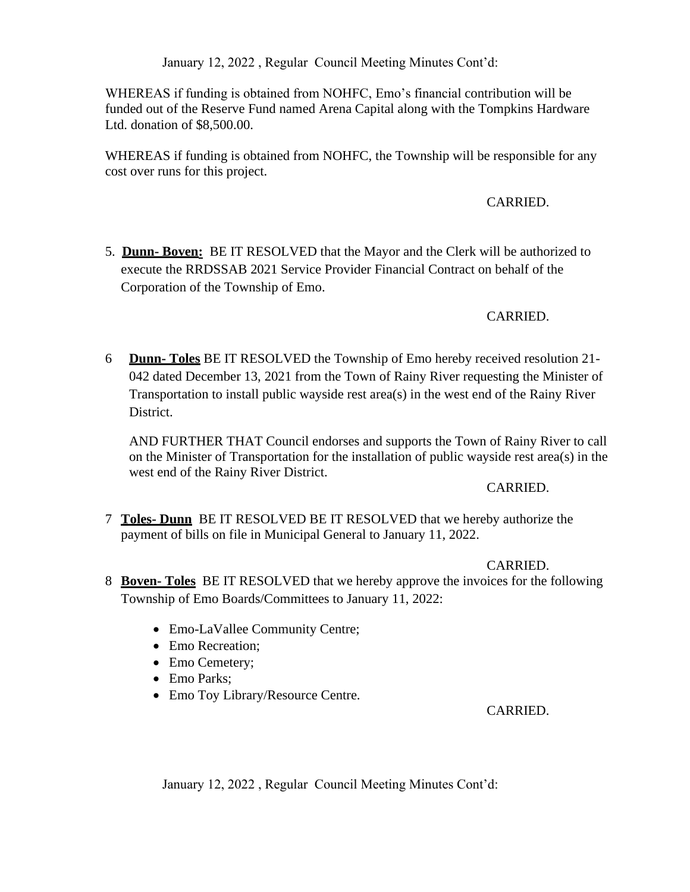WHEREAS if funding is obtained from NOHFC, Emo's financial contribution will be funded out of the Reserve Fund named Arena Capital along with the Tompkins Hardware Ltd. donation of \$8,500.00.

WHEREAS if funding is obtained from NOHFC, the Township will be responsible for any cost over runs for this project.

### CARRIED.

5. **Dunn- Boven:** BE IT RESOLVED that the Mayor and the Clerk will be authorized to execute the RRDSSAB 2021 Service Provider Financial Contract on behalf of the Corporation of the Township of Emo.

### CARRIED.

6 **Dunn- Toles** BE IT RESOLVED the Township of Emo hereby received resolution 21- 042 dated December 13, 2021 from the Town of Rainy River requesting the Minister of Transportation to install public wayside rest area(s) in the west end of the Rainy River District.

AND FURTHER THAT Council endorses and supports the Town of Rainy River to call on the Minister of Transportation for the installation of public wayside rest area(s) in the west end of the Rainy River District.

#### CARRIED.

7 **Toles- Dunn** BE IT RESOLVED BE IT RESOLVED that we hereby authorize the payment of bills on file in Municipal General to January 11, 2022.

### CARRIED.

- 8 **Boven- Toles** BE IT RESOLVED that we hereby approve the invoices for the following Township of Emo Boards/Committees to January 11, 2022:
	- Emo-LaVallee Community Centre;
	- Emo Recreation;
	- Emo Cemetery;
	- Emo Parks;
	- Emo Toy Library/Resource Centre.

### CARRIED.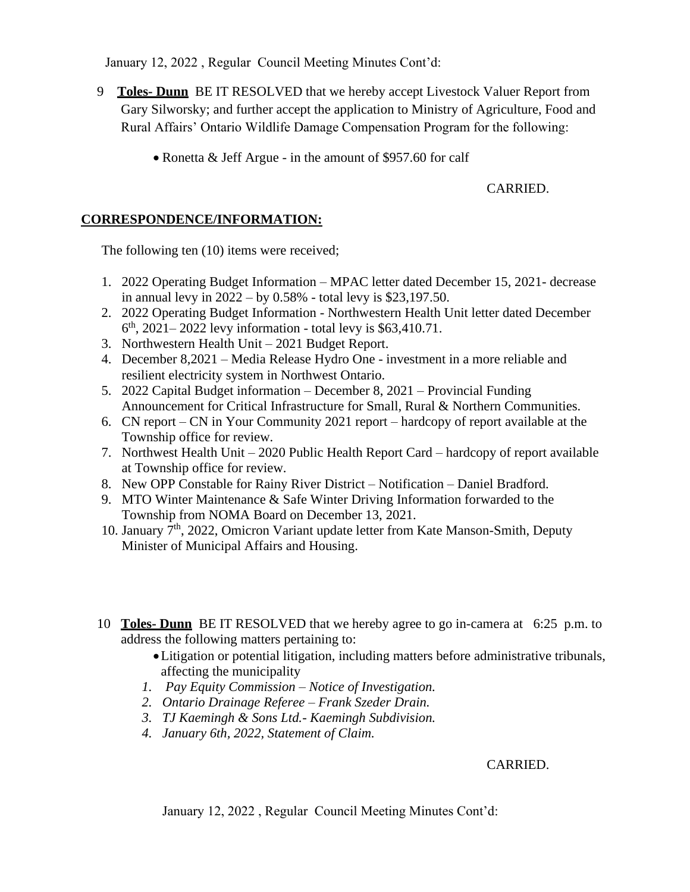- 9 **Toles- Dunn** BE IT RESOLVED that we hereby accept Livestock Valuer Report from Gary Silworsky; and further accept the application to Ministry of Agriculture, Food and Rural Affairs' Ontario Wildlife Damage Compensation Program for the following:
	- Ronetta & Jeff Argue in the amount of \$957.60 for calf

## CARRIED.

## **CORRESPONDENCE/INFORMATION:**

The following ten (10) items were received;

- 1. 2022 Operating Budget Information MPAC letter dated December 15, 2021- decrease in annual levy in 2022 – by 0.58% - total levy is \$23,197.50.
- 2. 2022 Operating Budget Information Northwestern Health Unit letter dated December 6 th, 2021– 2022 levy information - total levy is \$63,410.71.
- 3. Northwestern Health Unit 2021 Budget Report.
- 4. December 8,2021 Media Release Hydro One investment in a more reliable and resilient electricity system in Northwest Ontario.
- 5. 2022 Capital Budget information December 8, 2021 Provincial Funding Announcement for Critical Infrastructure for Small, Rural & Northern Communities.
- 6. CN report CN in Your Community 2021 report hardcopy of report available at the Township office for review.
- 7. Northwest Health Unit 2020 Public Health Report Card hardcopy of report available at Township office for review.
- 8. New OPP Constable for Rainy River District Notification Daniel Bradford.
- 9. MTO Winter Maintenance & Safe Winter Driving Information forwarded to the Township from NOMA Board on December 13, 2021.
- 10. January 7th, 2022, Omicron Variant update letter from Kate Manson-Smith, Deputy Minister of Municipal Affairs and Housing.
- 10 **Toles- Dunn** BE IT RESOLVED that we hereby agree to go in-camera at 6:25 p.m. to address the following matters pertaining to:
	- •Litigation or potential litigation, including matters before administrative tribunals, affecting the municipality
	- *1. Pay Equity Commission – Notice of Investigation.*
	- *2. Ontario Drainage Referee – Frank Szeder Drain.*
	- *3. TJ Kaemingh & Sons Ltd.- Kaemingh Subdivision.*
	- *4. January 6th, 2022, Statement of Claim.*

# CARRIED.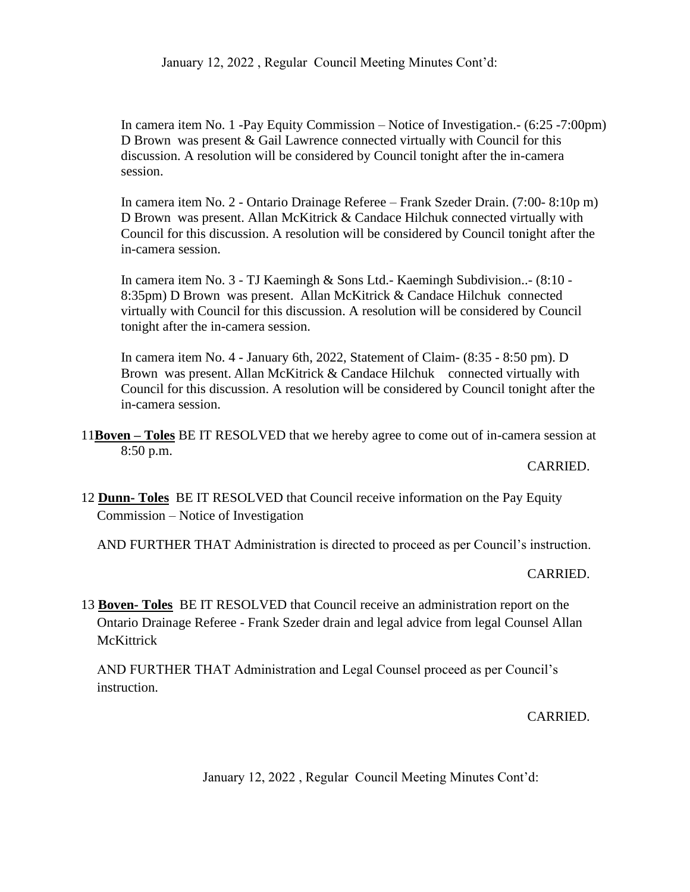In camera item No. 1 -Pay Equity Commission – Notice of Investigation.- (6:25 -7:00pm) D Brown was present & Gail Lawrence connected virtually with Council for this discussion. A resolution will be considered by Council tonight after the in-camera session.

In camera item No. 2 - Ontario Drainage Referee – Frank Szeder Drain. (7:00- 8:10p m) D Brown was present. Allan McKitrick & Candace Hilchuk connected virtually with Council for this discussion. A resolution will be considered by Council tonight after the in-camera session.

In camera item No. 3 - TJ Kaemingh & Sons Ltd.- Kaemingh Subdivision..- (8:10 - 8:35pm) D Brown was present. Allan McKitrick & Candace Hilchuk connected virtually with Council for this discussion. A resolution will be considered by Council tonight after the in-camera session.

In camera item No. 4 - January 6th, 2022, Statement of Claim- (8:35 - 8:50 pm). D Brown was present. Allan McKitrick & Candace Hilchuk connected virtually with Council for this discussion. A resolution will be considered by Council tonight after the in-camera session.

11**Boven – Toles** BE IT RESOLVED that we hereby agree to come out of in-camera session at 8:50 p.m.

### CARRIED.

12 **Dunn- Toles** BE IT RESOLVED that Council receive information on the Pay Equity Commission – Notice of Investigation

AND FURTHER THAT Administration is directed to proceed as per Council's instruction.

### CARRIED.

13 **Boven- Toles** BE IT RESOLVED that Council receive an administration report on the Ontario Drainage Referee - Frank Szeder drain and legal advice from legal Counsel Allan **McKittrick** 

AND FURTHER THAT Administration and Legal Counsel proceed as per Council's instruction.

### CARRIED.